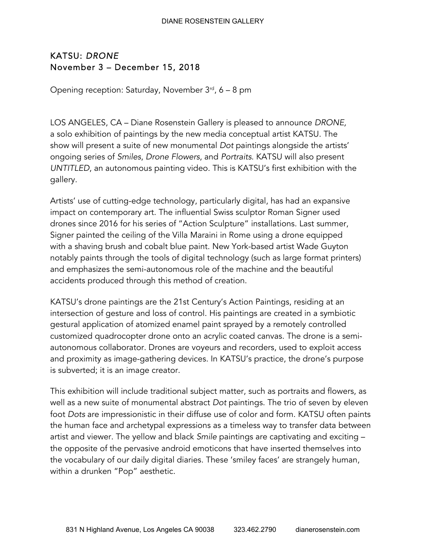## DIANE ROSENSTEIN GALLERY

## KATSU: *DRONE*  November 3 – December 15, 2018

Opening reception: Saturday, November  $3<sup>rd</sup>$ , 6 – 8 pm

LOS ANGELES, CA – Diane Rosenstein Gallery is pleased to announce *DRONE,* a solo exhibition of paintings by the new media conceptual artist KATSU. The show will present a suite of new monumental *Dot* paintings alongside the artists' ongoing series of *Smiles*, *Drone Flowers*, and *Portraits*. KATSU will also present *UNTITLED*, an autonomous painting video. This is KATSU's first exhibition with the gallery.

Artists' use of cutting-edge technology, particularly digital, has had an expansive impact on contemporary art. The influential Swiss sculptor Roman Signer used drones since 2016 for his series of "Action Sculpture" installations. Last summer, Signer painted the ceiling of the Villa Maraini in Rome using a drone equipped with a shaving brush and cobalt blue paint. New York-based artist Wade Guyton notably paints through the tools of digital technology (such as large format printers) and emphasizes the semi-autonomous role of the machine and the beautiful accidents produced through this method of creation.

KATSU's drone paintings are the 21st Century's Action Paintings, residing at an intersection of gesture and loss of control. His paintings are created in a symbiotic gestural application of atomized enamel paint sprayed by a remotely controlled customized quadrocopter drone onto an acrylic coated canvas. The drone is a semiautonomous collaborator. Drones are voyeurs and recorders, used to exploit access and proximity as image-gathering devices. In KATSU's practice, the drone's purpose is subverted; it is an image creator.

This exhibition will include traditional subject matter, such as portraits and flowers, as well as a new suite of monumental abstract *Dot* paintings. The trio of seven by eleven foot *Dots* are impressionistic in their diffuse use of color and form. KATSU often paints the human face and archetypal expressions as a timeless way to transfer data between artist and viewer. The yellow and black *Smile* paintings are captivating and exciting – the opposite of the pervasive android emoticons that have inserted themselves into the vocabulary of our daily digital diaries. These 'smiley faces' are strangely human, within a drunken "Pop" aesthetic.